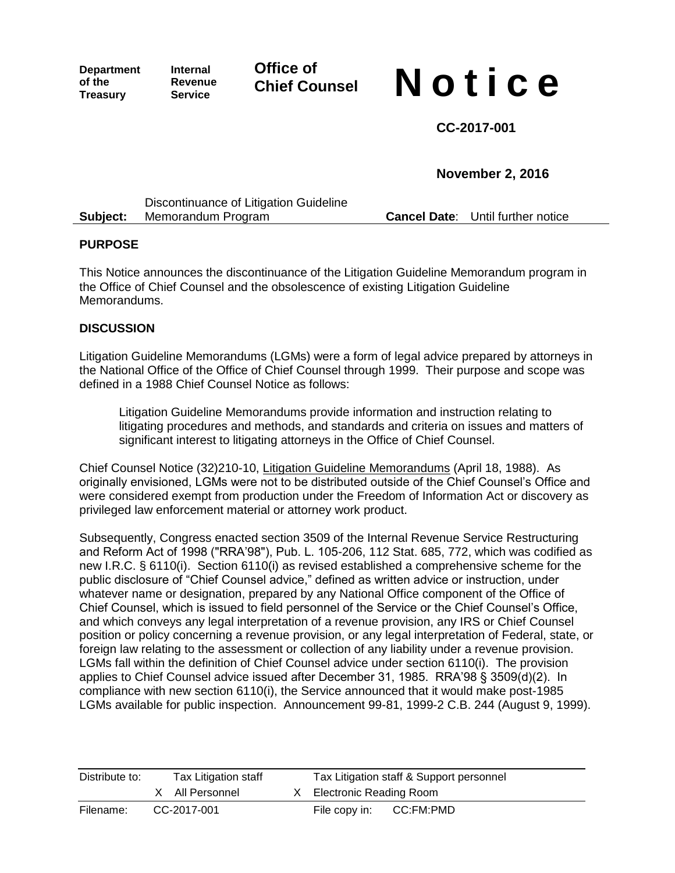**Department of the Treasury**

**Internal Revenue Service**

**Office of**

## **Chief Counsel N o t i c e**

**CC-2017-001**

**November 2, 2016**

|          | Discontinuance of Litigation Guideline |                                          |
|----------|----------------------------------------|------------------------------------------|
| Subject: | Memorandum Program                     | <b>Cancel Date:</b> Until further notice |

## **PURPOSE**

This Notice announces the discontinuance of the Litigation Guideline Memorandum program in the Office of Chief Counsel and the obsolescence of existing Litigation Guideline Memorandums.

## **DISCUSSION**

Litigation Guideline Memorandums (LGMs) were a form of legal advice prepared by attorneys in the National Office of the Office of Chief Counsel through 1999. Their purpose and scope was defined in a 1988 Chief Counsel Notice as follows:

Litigation Guideline Memorandums provide information and instruction relating to litigating procedures and methods, and standards and criteria on issues and matters of significant interest to litigating attorneys in the Office of Chief Counsel.

Chief Counsel Notice (32)210-10, Litigation Guideline Memorandums (April 18, 1988). As originally envisioned, LGMs were not to be distributed outside of the Chief Counsel's Office and were considered exempt from production under the Freedom of Information Act or discovery as privileged law enforcement material or attorney work product.

Subsequently, Congress enacted section 3509 of the Internal Revenue Service Restructuring and Reform Act of 1998 ("RRA'98"), Pub. L. 105-206, 112 Stat. 685, 772, which was codified as new I.R.C. § 6110(i). Section 6110(i) as revised established a comprehensive scheme for the public disclosure of "Chief Counsel advice," defined as written advice or instruction, under whatever name or designation, prepared by any National Office component of the Office of Chief Counsel, which is issued to field personnel of the Service or the Chief Counsel's Office, and which conveys any legal interpretation of a revenue provision, any IRS or Chief Counsel position or policy concerning a revenue provision, or any legal interpretation of Federal, state, or foreign law relating to the assessment or collection of any liability under a revenue provision. LGMs fall within the definition of Chief Counsel advice under section 6110(i). The provision applies to Chief Counsel advice issued after December 31, 1985. RRA'98 § 3509(d)(2). In compliance with new section 6110(i), the Service announced that it would make post-1985 LGMs available for public inspection. Announcement 99-81, 1999-2 C.B. 244 (August 9, 1999).

| Distribute to: | Tax Litigation staff |                 |               |                         | Tax Litigation staff & Support personnel |
|----------------|----------------------|-----------------|---------------|-------------------------|------------------------------------------|
|                |                      | X All Personnel |               | Electronic Reading Room |                                          |
| Filename:      | CC-2017-001          |                 | File copy in: | CC:FM:PMD               |                                          |